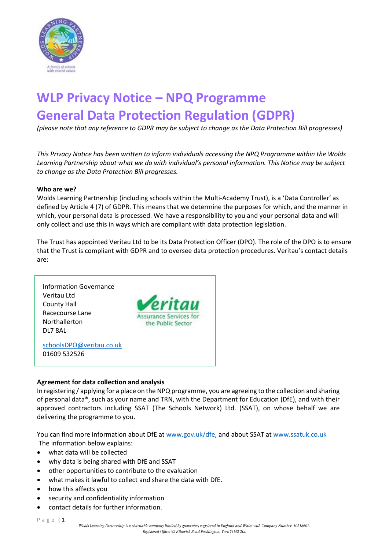

# **WLP Privacy Notice – NPQ Programme General Data Protection Regulation (GDPR)**

*(please note that any reference to GDPR may be subject to change as the Data Protection Bill progresses)*

*This Privacy Notice has been written to inform individuals accessing the NPQ Programme within the Wolds Learning Partnership about what we do with individual's personal information. This Notice may be subject to change as the Data Protection Bill progresses.*

#### **Who are we?**

Wolds Learning Partnership (including schools within the Multi-Academy Trust), is a 'Data Controller' as defined by Article 4 (7) of GDPR. This means that we determine the purposes for which, and the manner in which, your personal data is processed. We have a responsibility to you and your personal data and will only collect and use this in ways which are compliant with data protection legislation.

The Trust has appointed Veritau Ltd to be its Data Protection Officer (DPO). The role of the DPO is to ensure that the Trust is compliant with GDPR and to oversee data protection procedures. Veritau's contact details are:

Information Governance Veritau Ltd County Hall Racecourse Lane Northallerton DL7 8AL



[schoolsDPO@veritau.co.uk](mailto:schoolsDPO@veritau.co.uk) 01609 532526

### **Agreement for data collection and analysis**

In registering / applying for a place on the NPQ programme, you are agreeing to the collection and sharing of personal data\*, such as your name and TRN, with the Department for Education (DfE), and with their approved contractors including SSAT (The Schools Network) Ltd. (SSAT), on whose behalf we are delivering the programme to you.

You can find more information about DfE at [www.gov.uk/dfe,](http://www.gov.uk/dfe) and about SSAT at [www.ssatuk.co.uk](http://www.ssatuk.co.uk/) The information below explains:

- what data will be collected
- why data is being shared with DfE and SSAT
- other opportunities to contribute to the evaluation
- what makes it lawful to collect and share the data with DfE.
- how this affects you
- security and confidentiality information
- contact details for further information.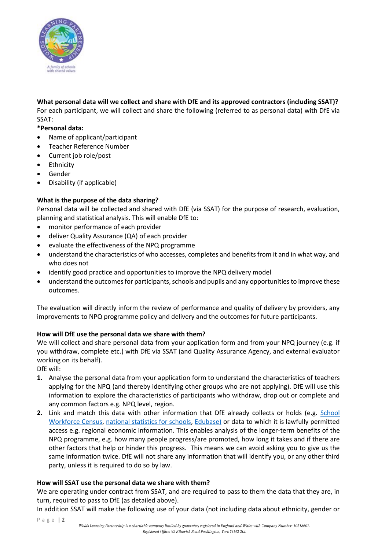

**What personal data will we collect and share with DfE and its approved contractors (including SSAT)?** For each participant, we will collect and share the following (referred to as personal data) with DfE via SSAT:

**\*Personal data:**

- Name of applicant/participant
- Teacher Reference Number
- Current job role/post
- Ethnicity
- Gender
- Disability (if applicable)

### **What is the purpose of the data sharing?**

Personal data will be collected and shared with DfE (via SSAT) for the purpose of research, evaluation, planning and statistical analysis. This will enable DfE to:

- monitor performance of each provider
- deliver Quality Assurance (QA) of each provider
- evaluate the effectiveness of the NPQ programme
- understand the characteristics of who accesses, completes and benefits from it and in what way, and who does not
- identify good practice and opportunities to improve the NPQ delivery model
- understand the outcomes for participants, schools and pupils and any opportunities to improve these outcomes.

The evaluation will directly inform the review of performance and quality of delivery by providers, any improvements to NPQ programme policy and delivery and the outcomes for future participants.

### **How will DfE use the personal data we share with them?**

We will collect and share personal data from your application form and from your NPQ journey (e.g. if you withdraw, complete etc.) with DfE via SSAT (and Quality Assurance Agency, and external evaluator working on its behalf).

DfE will:

- **1.** Analyse the personal data from your application form to understand the characteristics of teachers applying for the NPQ (and thereby identifying other groups who are not applying). DfE will use this information to explore the characteristics of participants who withdraw, drop out or complete and any common factors e.g. NPQ level, region.
- **2.** Link and match this data with other information that DfE already collects or holds (e.g. [School](https://data.gov.uk/dataset/school-workforce-census)  [Workforce Census,](https://data.gov.uk/dataset/school-workforce-census) [national statistics for schools,](https://www.gov.uk/government/organisations/department-for-education/about/statistics#latest-statistical-releases) [Edubase\)](http://www.education.gov.uk/edubase/home.xhtml) or data to which it is lawfully permitted access e.g. regional economic information. This enables analysis of the longer-term benefits of the NPQ programme, e.g. how many people progress/are promoted, how long it takes and if there are other factors that help or hinder this progress. This means we can avoid asking you to give us the same information twice. DfE will not share any information that will identify you, or any other third party, unless it is required to do so by law.

### **How will SSAT use the personal data we share with them?**

We are operating under contract from SSAT, and are required to pass to them the data that they are, in turn, required to pass to DfE (as detailed above).

In addition SSAT will make the following use of your data (not including data about ethnicity, gender or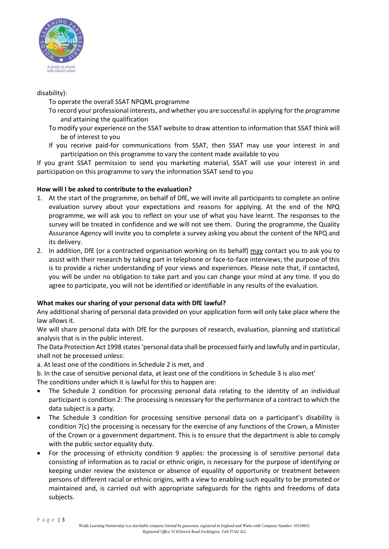

## disability):

To operate the overall SSAT NPQML programme

- To record your professional interests, and whether you are successful in applying for the programme and attaining the qualification
- To modify your experience on the SSAT website to draw attention to information that SSAT think will be of interest to you
- If you receive paid-for communications from SSAT, then SSAT may use your interest in and participation on this programme to vary the content made available to you

If you grant SSAT permission to send you marketing material, SSAT will use your interest in and participation on this programme to vary the information SSAT send to you

## **How will I be asked to contribute to the evaluation?**

- 1. At the start of the programme, on behalf of DfE, we will invite all participants to complete an online evaluation survey about your expectations and reasons for applying. At the end of the NPQ programme, we will ask you to reflect on your use of what you have learnt. The responses to the survey will be treated in confidence and we will not see them. During the programme, the Quality Assurance Agency will invite you to complete a survey asking you about the content of the NPQ and its delivery.
- 2. In addition, DfE (or a contracted organisation working on its behalf) may contact you to ask you to assist with their research by taking part in telephone or face-to-face interviews; the purpose of this is to provide a richer understanding of your views and experiences. Please note that, if contacted, you will be under no obligation to take part and you can change your mind at any time. If you do agree to participate, you will not be identified or identifiable in any results of the evaluation.

# **What makes our sharing of your personal data with DfE lawful?**

Any additional sharing of personal data provided on your application form will only take place where the law allows it.

We will share personal data with DfE for the purposes of research, evaluation, planning and statistical analysis that is in the public interest.

The Data Protection Act 1998 states 'personal data shall be processed fairly and lawfully and in particular, shall not be processed unless:

a. At least one of the conditions in Schedule 2 is met, and

b. In the case of sensitive personal data, at least one of the conditions in Schedule 3 is also met'

The conditions under which it is lawful for this to happen are:

- The Schedule 2 condition for processing personal data relating to the identity of an individual participant is condition 2: The processing is necessary for the performance of a contract to which the data subject is a party.
- The Schedule 3 condition for processing sensitive personal data on a participant's disability is condition 7(c) the processing is necessary for the exercise of any functions of the Crown, a Minister of the Crown or a government department. This is to ensure that the department is able to comply with the public sector equality duty.
- For the processing of ethnicity condition 9 applies: the processing is of sensitive personal data consisting of information as to racial or ethnic origin, is necessary for the purpose of identifying or keeping under review the existence or absence of equality of opportunity or treatment between persons of different racial or ethnic origins, with a view to enabling such equality to be promoted or maintained and, is carried out with appropriate safeguards for the rights and freedoms of data subjects.